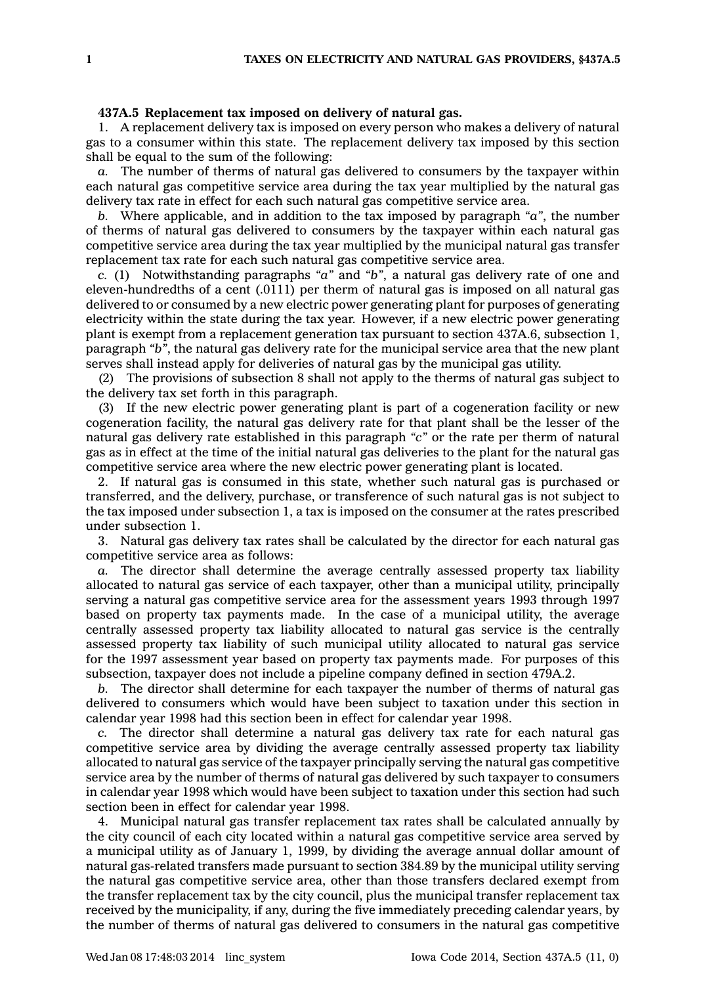## **437A.5 Replacement tax imposed on delivery of natural gas.**

1. A replacement delivery tax is imposed on every person who makes <sup>a</sup> delivery of natural gas to <sup>a</sup> consumer within this state. The replacement delivery tax imposed by this section shall be equal to the sum of the following:

*a.* The number of therms of natural gas delivered to consumers by the taxpayer within each natural gas competitive service area during the tax year multiplied by the natural gas delivery tax rate in effect for each such natural gas competitive service area.

*b.* Where applicable, and in addition to the tax imposed by paragraph *"a"*, the number of therms of natural gas delivered to consumers by the taxpayer within each natural gas competitive service area during the tax year multiplied by the municipal natural gas transfer replacement tax rate for each such natural gas competitive service area.

*c.* (1) Notwithstanding paragraphs *"a"* and *"b"*, <sup>a</sup> natural gas delivery rate of one and eleven-hundredths of <sup>a</sup> cent (.0111) per therm of natural gas is imposed on all natural gas delivered to or consumed by <sup>a</sup> new electric power generating plant for purposes of generating electricity within the state during the tax year. However, if <sup>a</sup> new electric power generating plant is exempt from <sup>a</sup> replacement generation tax pursuant to section 437A.6, subsection 1, paragraph *"b"*, the natural gas delivery rate for the municipal service area that the new plant serves shall instead apply for deliveries of natural gas by the municipal gas utility.

(2) The provisions of subsection 8 shall not apply to the therms of natural gas subject to the delivery tax set forth in this paragraph.

(3) If the new electric power generating plant is part of <sup>a</sup> cogeneration facility or new cogeneration facility, the natural gas delivery rate for that plant shall be the lesser of the natural gas delivery rate established in this paragraph *"c"* or the rate per therm of natural gas as in effect at the time of the initial natural gas deliveries to the plant for the natural gas competitive service area where the new electric power generating plant is located.

2. If natural gas is consumed in this state, whether such natural gas is purchased or transferred, and the delivery, purchase, or transference of such natural gas is not subject to the tax imposed under subsection 1, <sup>a</sup> tax is imposed on the consumer at the rates prescribed under subsection 1.

3. Natural gas delivery tax rates shall be calculated by the director for each natural gas competitive service area as follows:

*a.* The director shall determine the average centrally assessed property tax liability allocated to natural gas service of each taxpayer, other than <sup>a</sup> municipal utility, principally serving <sup>a</sup> natural gas competitive service area for the assessment years 1993 through 1997 based on property tax payments made. In the case of <sup>a</sup> municipal utility, the average centrally assessed property tax liability allocated to natural gas service is the centrally assessed property tax liability of such municipal utility allocated to natural gas service for the 1997 assessment year based on property tax payments made. For purposes of this subsection, taxpayer does not include <sup>a</sup> pipeline company defined in section 479A.2.

*b.* The director shall determine for each taxpayer the number of therms of natural gas delivered to consumers which would have been subject to taxation under this section in calendar year 1998 had this section been in effect for calendar year 1998.

*c.* The director shall determine <sup>a</sup> natural gas delivery tax rate for each natural gas competitive service area by dividing the average centrally assessed property tax liability allocated to natural gas service of the taxpayer principally serving the natural gas competitive service area by the number of therms of natural gas delivered by such taxpayer to consumers in calendar year 1998 which would have been subject to taxation under this section had such section been in effect for calendar year 1998.

4. Municipal natural gas transfer replacement tax rates shall be calculated annually by the city council of each city located within <sup>a</sup> natural gas competitive service area served by <sup>a</sup> municipal utility as of January 1, 1999, by dividing the average annual dollar amount of natural gas-related transfers made pursuant to section 384.89 by the municipal utility serving the natural gas competitive service area, other than those transfers declared exempt from the transfer replacement tax by the city council, plus the municipal transfer replacement tax received by the municipality, if any, during the five immediately preceding calendar years, by the number of therms of natural gas delivered to consumers in the natural gas competitive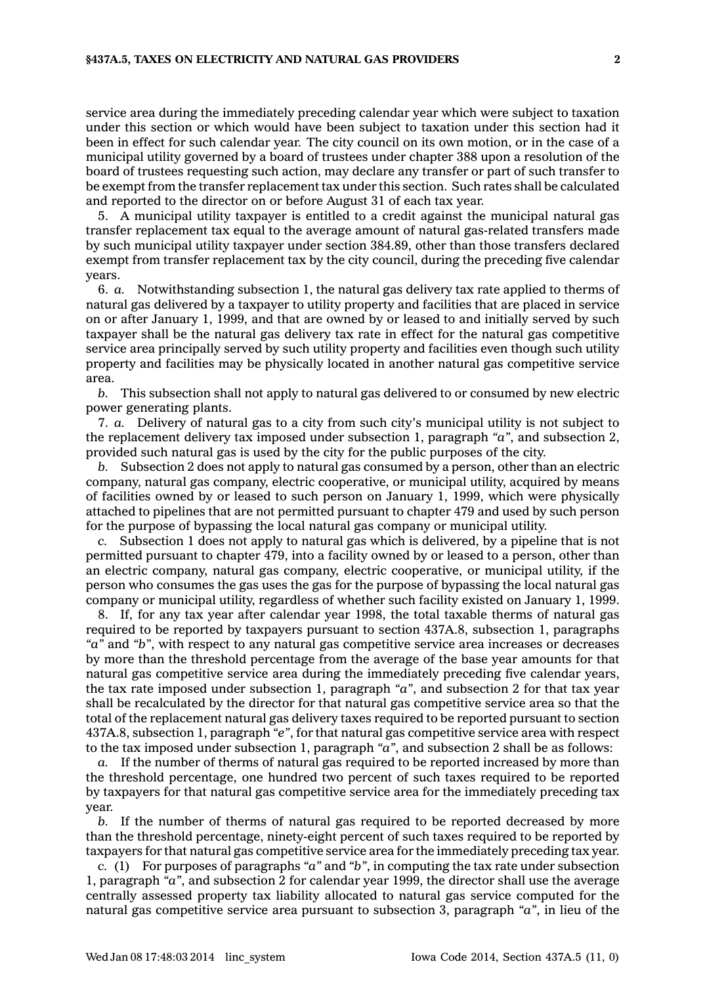service area during the immediately preceding calendar year which were subject to taxation under this section or which would have been subject to taxation under this section had it been in effect for such calendar year. The city council on its own motion, or in the case of <sup>a</sup> municipal utility governed by <sup>a</sup> board of trustees under chapter 388 upon <sup>a</sup> resolution of the board of trustees requesting such action, may declare any transfer or part of such transfer to be exempt from the transfer replacement tax under this section. Such rates shall be calculated and reported to the director on or before August 31 of each tax year.

5. A municipal utility taxpayer is entitled to <sup>a</sup> credit against the municipal natural gas transfer replacement tax equal to the average amount of natural gas-related transfers made by such municipal utility taxpayer under section 384.89, other than those transfers declared exempt from transfer replacement tax by the city council, during the preceding five calendar years.

6. *a.* Notwithstanding subsection 1, the natural gas delivery tax rate applied to therms of natural gas delivered by <sup>a</sup> taxpayer to utility property and facilities that are placed in service on or after January 1, 1999, and that are owned by or leased to and initially served by such taxpayer shall be the natural gas delivery tax rate in effect for the natural gas competitive service area principally served by such utility property and facilities even though such utility property and facilities may be physically located in another natural gas competitive service area.

*b.* This subsection shall not apply to natural gas delivered to or consumed by new electric power generating plants.

7. *a.* Delivery of natural gas to <sup>a</sup> city from such city's municipal utility is not subject to the replacement delivery tax imposed under subsection 1, paragraph *"a"*, and subsection 2, provided such natural gas is used by the city for the public purposes of the city.

*b.* Subsection 2 does not apply to natural gas consumed by <sup>a</sup> person, other than an electric company, natural gas company, electric cooperative, or municipal utility, acquired by means of facilities owned by or leased to such person on January 1, 1999, which were physically attached to pipelines that are not permitted pursuant to chapter 479 and used by such person for the purpose of bypassing the local natural gas company or municipal utility.

*c.* Subsection 1 does not apply to natural gas which is delivered, by <sup>a</sup> pipeline that is not permitted pursuant to chapter 479, into <sup>a</sup> facility owned by or leased to <sup>a</sup> person, other than an electric company, natural gas company, electric cooperative, or municipal utility, if the person who consumes the gas uses the gas for the purpose of bypassing the local natural gas company or municipal utility, regardless of whether such facility existed on January 1, 1999.

8. If, for any tax year after calendar year 1998, the total taxable therms of natural gas required to be reported by taxpayers pursuant to section 437A.8, subsection 1, paragraphs *"a"* and *"b"*, with respect to any natural gas competitive service area increases or decreases by more than the threshold percentage from the average of the base year amounts for that natural gas competitive service area during the immediately preceding five calendar years, the tax rate imposed under subsection 1, paragraph *"a"*, and subsection 2 for that tax year shall be recalculated by the director for that natural gas competitive service area so that the total of the replacement natural gas delivery taxes required to be reported pursuant to section 437A.8, subsection 1, paragraph *"e"*, for that natural gas competitive service area with respect to the tax imposed under subsection 1, paragraph *"a"*, and subsection 2 shall be as follows:

*a.* If the number of therms of natural gas required to be reported increased by more than the threshold percentage, one hundred two percent of such taxes required to be reported by taxpayers for that natural gas competitive service area for the immediately preceding tax year.

*b.* If the number of therms of natural gas required to be reported decreased by more than the threshold percentage, ninety-eight percent of such taxes required to be reported by taxpayers for that natural gas competitive service area for the immediately preceding tax year.

*c.* (1) For purposes of paragraphs *"a"* and *"b"*, in computing the tax rate under subsection 1, paragraph *"a"*, and subsection 2 for calendar year 1999, the director shall use the average centrally assessed property tax liability allocated to natural gas service computed for the natural gas competitive service area pursuant to subsection 3, paragraph *"a"*, in lieu of the